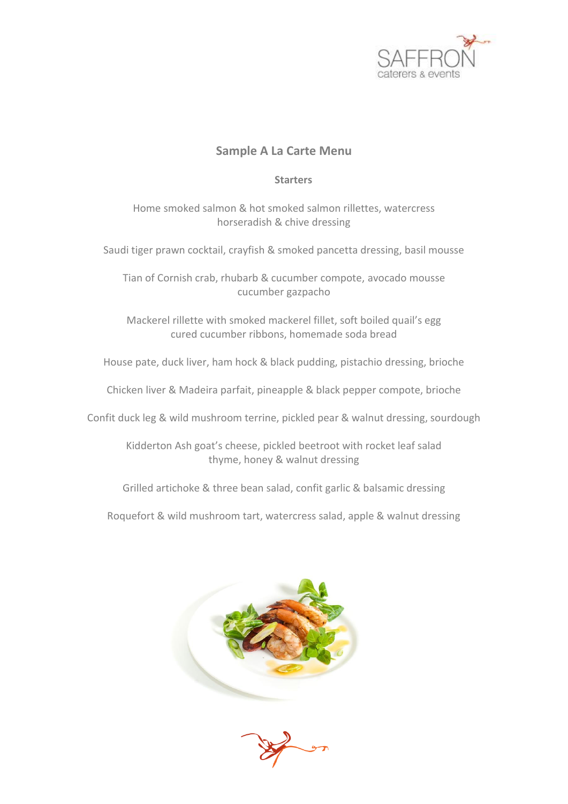

## **Sample A La Carte Menu**

## **Starters**

Home smoked salmon & hot smoked salmon rillettes, watercress horseradish & chive dressing

Saudi tiger prawn cocktail, crayfish & smoked pancetta dressing, basil mousse

Tian of Cornish crab, rhubarb & cucumber compote, avocado mousse cucumber gazpacho

Mackerel rillette with smoked mackerel fillet, soft boiled quail's egg cured cucumber ribbons, homemade soda bread

House pate, duck liver, ham hock & black pudding, pistachio dressing, brioche

Chicken liver & Madeira parfait, pineapple & black pepper compote, brioche

Confit duck leg & wild mushroom terrine, pickled pear & walnut dressing, sourdough

Kidderton Ash goat's cheese, pickled beetroot with rocket leaf salad thyme, honey & walnut dressing

Grilled artichoke & three bean salad, confit garlic & balsamic dressing

Roquefort & wild mushroom tart, watercress salad, apple & walnut dressing



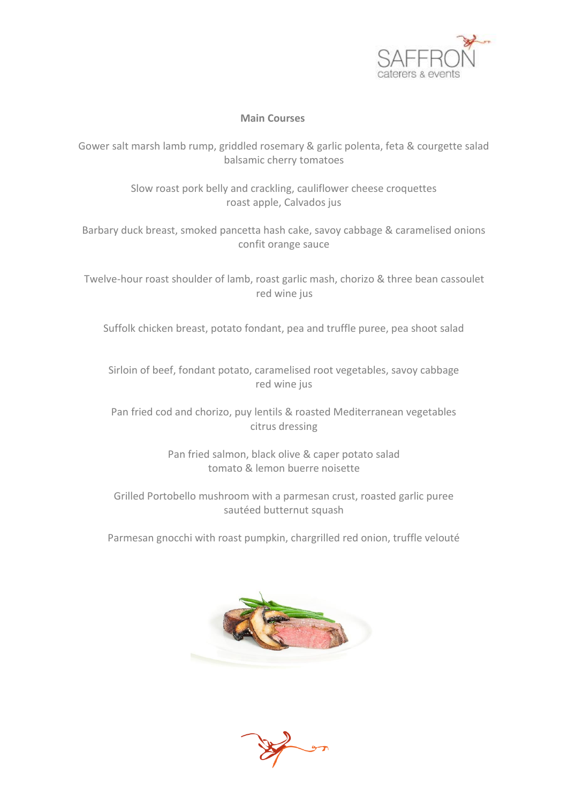

## **Main Courses**

Gower salt marsh lamb rump, griddled rosemary & garlic polenta, feta & courgette salad balsamic cherry tomatoes

> Slow roast pork belly and crackling, cauliflower cheese croquettes roast apple, Calvados jus

Barbary duck breast, smoked pancetta hash cake, savoy cabbage & caramelised onions confit orange sauce

Twelve-hour roast shoulder of lamb, roast garlic mash, chorizo & three bean cassoulet red wine jus

Suffolk chicken breast, potato fondant, pea and truffle puree, pea shoot salad

Sirloin of beef, fondant potato, caramelised root vegetables, savoy cabbage red wine jus

Pan fried cod and chorizo, puy lentils & roasted Mediterranean vegetables citrus dressing

> Pan fried salmon, black olive & caper potato salad tomato & lemon buerre noisette

Grilled Portobello mushroom with a parmesan crust, roasted garlic puree sautéed butternut squash

Parmesan gnocchi with roast pumpkin, chargrilled red onion, truffle velouté



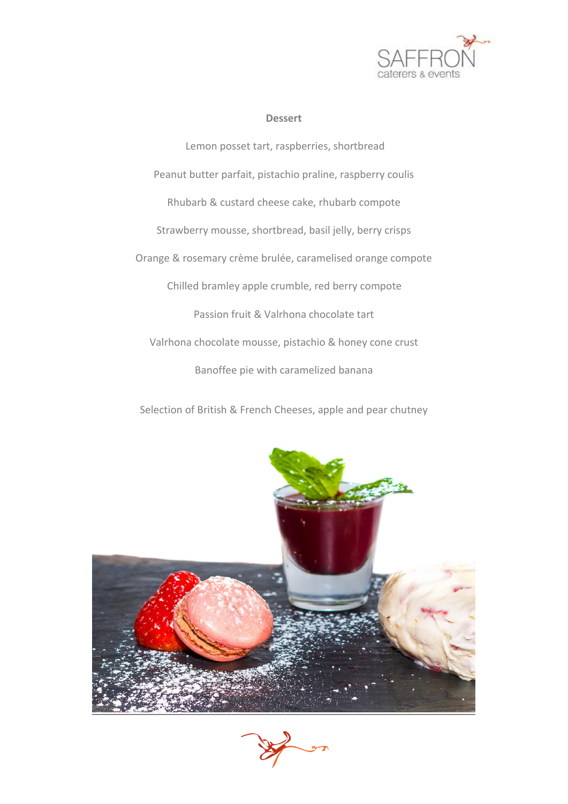

## **Dessert**

Lemon posset tart, raspberries, shortbread Peanut butter parfait, pistachio praline, raspberry coulis Rhubarb & custard cheese cake, rhubarb compote Strawberry mousse, shortbread, basil jelly, berry crisps Orange & rosemary crème brulée, caramelised orange compote Chilled bramley apple crumble, red berry compote Passion fruit & Valrhona chocolate tart Valrhona chocolate mousse, pistachio & honey cone crust Banoffee pie with caramelized banana

Selection of British & French Cheeses, apple and pear chutney